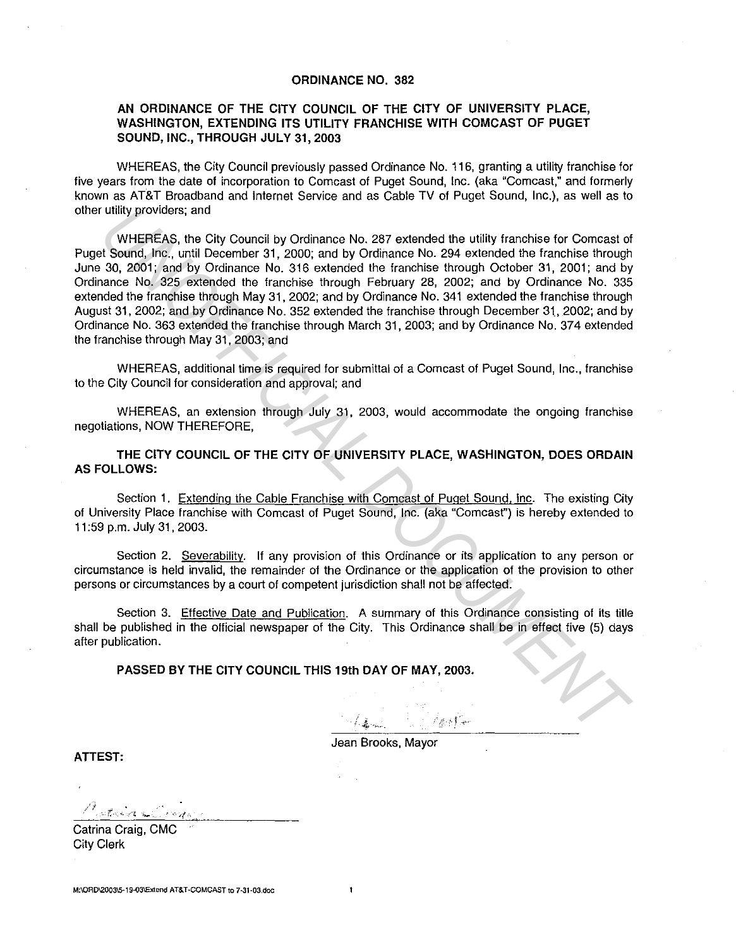## **ORDINANCE NO. 382**

## **AN ORDINANCE OF THE CITY COUNCIL OF THE CITY OF UNIVERSITY PLACE, WASHINGTON, EXTENDING ITS UTILITY FRANCHISE WITH COMCAST OF PUGET SOUND, INC., THROUGH JULY 31, 2003**

WHEREAS, the City Council previously passed Ordinance No. 116, granting a utility franchise for five years from the date of incorporation to Comcast of Puget Sound, Inc. (aka "Comcast," and formerly known as AT&T Broadband and Internet Service and as Cable TV of Puget Sound, Inc.), as well as to other utility providers; and

WHEREAS, the City Council by Ordinance No. 287 extended the utility franchise for Comcast of Puget Sound, Inc., until December 31, 2000; and by Ordinance No. 294 extended the franchise through June 30, 2001; and by Ordinance No. 316 extended the franchise through October 31, 2001; and by Ordinance No. 325 extended the franchise through February 28, 2002; and by Ordinance No. 335 extended the franchise through May 31, 2002; and by Ordinance No. 341 extended the franchise through August 31, 2002; and by Ordinance No. 352 extended the franchise through December 31, 2002; and by Ordinance No. 363 extended the franchise through March 31, 2003; and by Ordinance No. 37 4 extended the franchise through May 31, 2003; and Unlity providers; and<br>
WHEREAS, the City Council by Ordinance No. 287 extended the utility franchise for Comcast of<br>
WHEREAS, the City Council by Ordinance No. 287 extended the franchise through<br>
30, 2001; and by Ordinance

WHEREAS, additional time is required for submittal of a Comcast of Puget Sound, Inc., franchise to the City Council for consideration and approval; and

WHEREAS, an extension through July 31, 2003, would accommodate the ongoing franchise negotiations, NOW THEREFORE,

**THE CITY COUNCIL OF THE CITY OF UNIVERSITY PLACE, WASHINGTON, DOES ORDAIN AS FOLLOWS:** 

Section **1.** Extending the Cable Franchise with Comcast of Puget Sound, Inc. The existing City of University Place franchise with Comcast of Puget Sound, Inc. (aka "Comcasf') is hereby extended to 11 :59 p.m. July 31, 2003.

Section 2. Severability. If any provision of this Ordinance or its application to any person or circumstance is held invalid, the remainder of the Ordinance or the application of the provision to other persons or circumstances by a court of competent jurisdiction shall not be affected.

Section 3. Effective Date and Publication. A summary of this Ordinance consisting of its title shall be published in the official newspaper of the City. This Ordinance shall be in effect five (5) days after publication.

 $\ddot{\mathbf{r}}$ 

**PASSED BY THE CITY COUNCIL THIS 19th DAY OF MAY, 2003.** 

Jean Brooks, Mayor

**ATTEST:** 

ಿ<br>ಂಚಿಸಲಾ? ಇ

Catrina Craig, CMG City Clerk